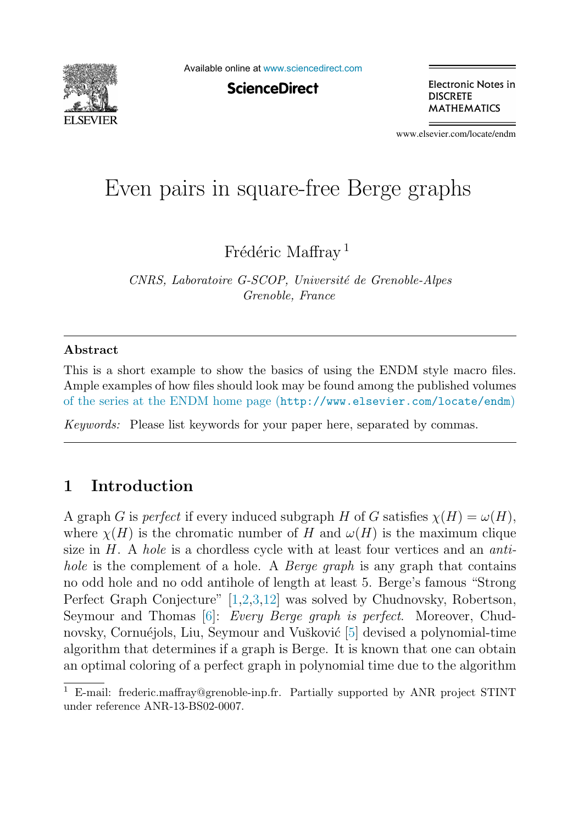

Available online at [www.sciencedirect.com](http://www.sciencedirect.com)

**ScienceDirect** 

Electronic Notes in **DISCRETE MATHEMATICS** 

www.elsevier.com/locate/endm

# Even pairs in square-free Berge graphs

Frédéric Maffray<sup>1</sup>

*CNRS, Laboratoire G-SCOP, Universit´e de Grenoble-Alpes Grenoble, France*

#### **Abstract**

This is a short example to show the basics of using the ENDM style macro files. Ample examples of how files should look may be found among the published volumes [of the series at the ENDM home page \(](http://www.elsevier.com/locate/endm)http://www.elsevier.com/locate/endm)

*Keywords:* Please list keywords for your paper here, separated by commas.

## **1 Introduction**

A graph G is perfect if every induced subgraph H of G satisfies  $\chi(H) = \omega(H)$ , where  $\chi(H)$  is the chromatic number of H and  $\omega(H)$  is the maximum clique size in  $H$ . A hole is a chordless cycle with at least four vertices and an antihole is the complement of a hole. A *Berge graph* is any graph that contains no odd hole and no odd antihole of length at least 5. Berge's famous "Strong Perfect Graph Conjecture" [\[1,2,3](#page-6-0)[,12\]](#page-7-0) was solved by Chudnovsky, Robertson, Seymour and Thomas [\[6\]](#page-6-0): *Every Berge graph is perfect.* Moreover, Chud-novsky, Cornuéjols, Liu, Seymour and Vušković [\[5\]](#page-6-0) devised a polynomial-time algorithm that determines if a graph is Berge. It is known that one can obtain an optimal coloring of a perfect graph in polynomial time due to the algorithm

<sup>&</sup>lt;sup>1</sup> E-mail: frederic.maffray@grenoble-inp.fr. Partially supported by ANR project STINT under reference ANR-13-BS02-0007.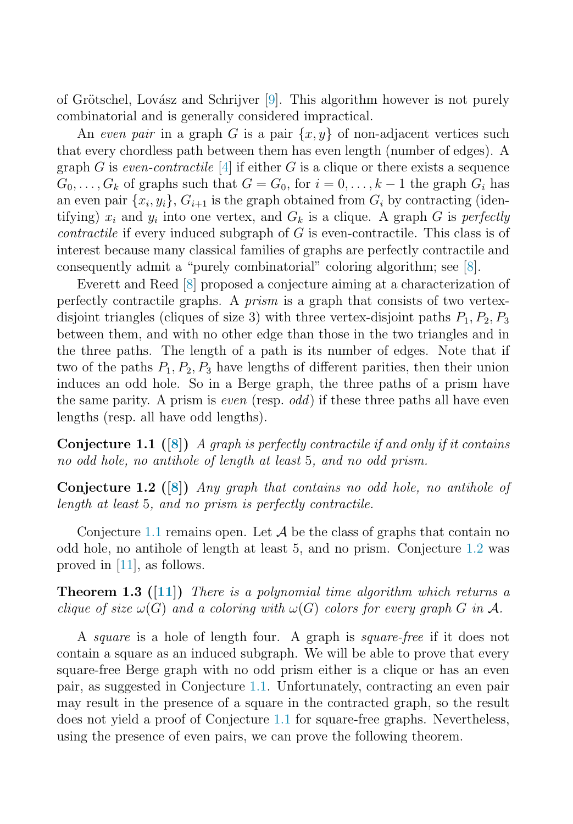<span id="page-1-0"></span>of Grötschel, Lovász and Schrijver  $[9]$ . This algorithm however is not purely combinatorial and is generally considered impractical.

An even pair in a graph G is a pair  $\{x, y\}$  of non-adjacent vertices such that every chordless path between them has even length (number of edges). A graph G is even-contractile [\[4\]](#page-6-0) if either G is a clique or there exists a sequence  $G_0, \ldots, G_k$  of graphs such that  $G = G_0$ , for  $i = 0, \ldots, k-1$  the graph  $G_i$  has an even pair  $\{x_i, y_i\}$ ,  $G_{i+1}$  is the graph obtained from  $G_i$  by contracting (identifying)  $x_i$  and  $y_i$  into one vertex, and  $G_k$  is a clique. A graph G is perfectly *contractile* if every induced subgraph of  $G$  is even-contractile. This class is of interest because many classical families of graphs are perfectly contractile and consequently admit a "purely combinatorial" coloring algorithm; see [\[8\]](#page-6-0).

Everett and Reed [\[8\]](#page-6-0) proposed a conjecture aiming at a characterization of perfectly contractile graphs. A prism is a graph that consists of two vertexdisjoint triangles (cliques of size 3) with three vertex-disjoint paths  $P_1, P_2, P_3$ between them, and with no other edge than those in the two triangles and in the three paths. The length of a path is its number of edges. Note that if two of the paths  $P_1, P_2, P_3$  have lengths of different parities, then their union induces an odd hole. So in a Berge graph, the three paths of a prism have the same parity. A prism is *even* (resp. *odd*) if these three paths all have even lengths (resp. all have odd lengths).

**Conjecture 1.1 ([\[8\]](#page-6-0))** A graph is perfectly contractile if and only if it contains no odd hole, no antihole of length at least 5, and no odd prism.

**Conjecture 1.2 ([\[8\]](#page-6-0))** Any graph that contains no odd hole, no antihole of length at least 5, and no prism is perfectly contractile.

Conjecture 1.1 remains open. Let  $\mathcal A$  be the class of graphs that contain no odd hole, no antihole of length at least 5, and no prism. Conjecture 1.2 was proved in [\[11\]](#page-7-0), as follows.

**Theorem 1.3 ([\[11\]](#page-7-0))** There is a polynomial time algorithm which returns a clique of size  $\omega(G)$  and a coloring with  $\omega(G)$  colors for every graph G in A.

A square is a hole of length four. A graph is square-free if it does not contain a square as an induced subgraph. We will be able to prove that every square-free Berge graph with no odd prism either is a clique or has an even pair, as suggested in Conjecture 1.1. Unfortunately, contracting an even pair may result in the presence of a square in the contracted graph, so the result does not yield a proof of Conjecture 1.1 for square-free graphs. Nevertheless, using the presence of even pairs, we can prove the following theorem.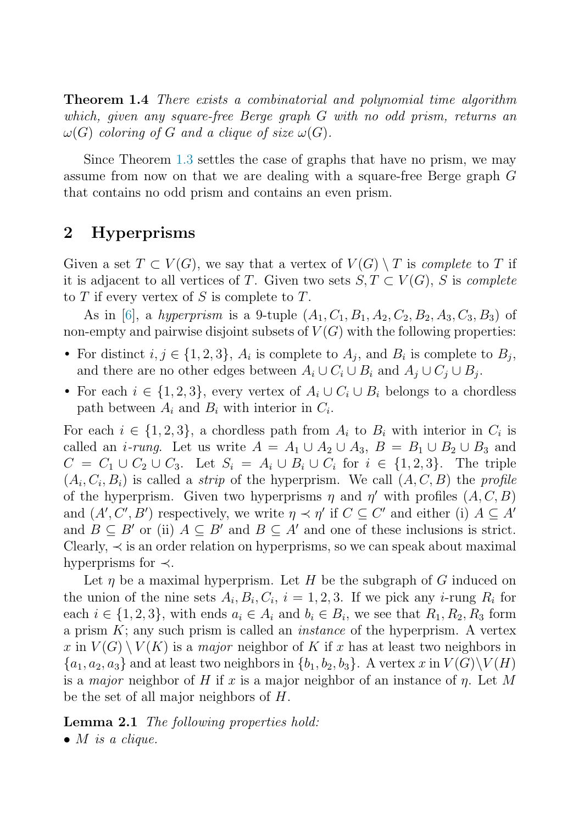<span id="page-2-0"></span>**Theorem 1.4** There exists a combinatorial and polynomial time algorithm which, given any square-free Berge graph G with no odd prism, returns an  $\omega(G)$  coloring of G and a clique of size  $\omega(G)$ .

Since Theorem [1.3](#page-1-0) settles the case of graphs that have no prism, we may assume from now on that we are dealing with a square-free Berge graph G that contains no odd prism and contains an even prism.

## **2 Hyperprisms**

Given a set  $T \subset V(G)$ , we say that a vertex of  $V(G) \setminus T$  is *complete* to T if it is adjacent to all vertices of T. Given two sets  $S, T \subset V(G)$ , S is complete to  $T$  if every vertex of  $S$  is complete to  $T$ .

As in [\[6\]](#page-6-0), a hyperprism is a 9-tuple  $(A_1, C_1, B_1, A_2, C_2, B_2, A_3, C_3, B_3)$  of non-empty and pairwise disjoint subsets of  $V(G)$  with the following properties:

- For distinct  $i, j \in \{1, 2, 3\}$ ,  $A_i$  is complete to  $A_j$ , and  $B_i$  is complete to  $B_j$ , and there are no other edges between  $A_i \cup C_i \cup B_i$  and  $A_j \cup C_j \cup B_j$ .
- For each  $i \in \{1, 2, 3\}$ , every vertex of  $A_i \cup C_i \cup B_i$  belongs to a chordless path between  $A_i$  and  $B_i$  with interior in  $C_i$ .

For each  $i \in \{1,2,3\}$ , a chordless path from  $A_i$  to  $B_i$  with interior in  $C_i$  is called an *i-rung*. Let us write  $A = A_1 \cup A_2 \cup A_3$ ,  $B = B_1 \cup B_2 \cup B_3$  and  $C = C_1 \cup C_2 \cup C_3$ . Let  $S_i = A_i \cup B_i \cup C_i$  for  $i \in \{1, 2, 3\}$ . The triple  $(A_i, C_i, B_i)$  is called a *strip* of the hyperprism. We call  $(A, C, B)$  the *profile* of the hyperprism. Given two hyperprisms  $\eta$  and  $\eta'$  with profiles  $(A, C, B)$ and  $(A', C', B')$  respectively, we write  $\eta \prec \eta'$  if  $C \subseteq C'$  and either (i)  $A \subseteq A'$ and  $B \subseteq B'$  or (ii)  $A \subseteq B'$  and  $B \subseteq A'$  and one of these inclusions is strict. Clearly,  $\prec$  is an order relation on hyperprisms, so we can speak about maximal hyperprisms for  $\prec$ .

Let  $\eta$  be a maximal hyperprism. Let H be the subgraph of G induced on the union of the nine sets  $A_i, B_i, C_i, i = 1, 2, 3$ . If we pick any *i*-rung  $R_i$  for each  $i \in \{1,2,3\}$ , with ends  $a_i \in A_i$  and  $b_i \in B_i$ , we see that  $R_1, R_2, R_3$  form a prism  $K$ ; any such prism is called an *instance* of the hyperprism. A vertex x in  $V(G) \setminus V(K)$  is a *major* neighbor of K if x has at least two neighbors in  ${a_1, a_2, a_3}$  and at least two neighbors in  ${b_1, b_2, b_3}$ . A vertex x in  $V(G)\V(H)$ is a major neighbor of H if x is a major neighbor of an instance of  $\eta$ . Let M be the set of all major neighbors of H.

**Lemma 2.1** The following properties hold:

 $\bullet$  *M* is a clique.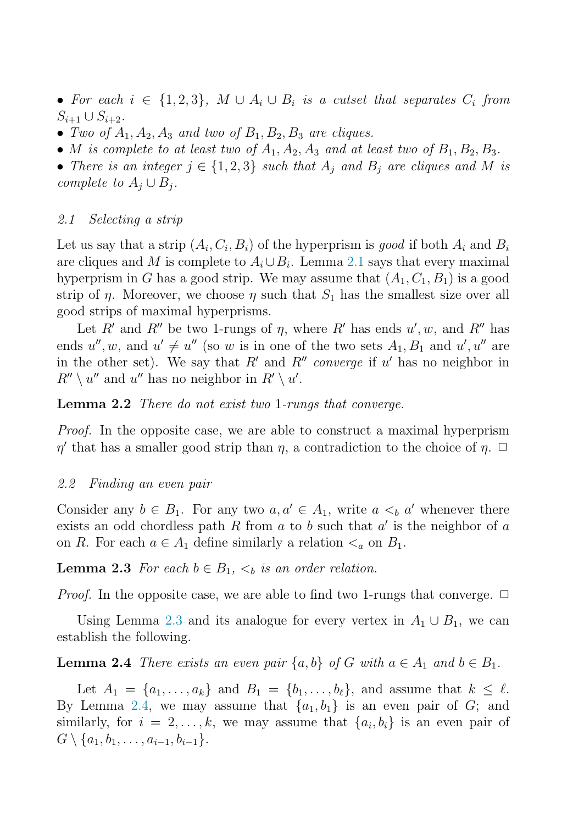<span id="page-3-0"></span>• For each  $i \in \{1,2,3\}$ ,  $M \cup A_i \cup B_i$  is a cutset that separates  $C_i$  from  $S_{i+1} \cup S_{i+2}$ .

- Two of  $A_1, A_2, A_3$  and two of  $B_1, B_2, B_3$  are cliques.
- M is complete to at least two of  $A_1, A_2, A_3$  and at least two of  $B_1, B_2, B_3$ .

• There is an integer  $j \in \{1,2,3\}$  such that  $A_i$  and  $B_j$  are cliques and M is complete to  $A_j \cup B_j$ .

#### 2.1 Selecting a strip

Let us say that a strip  $(A_i, C_i, B_i)$  of the hyperprism is good if both  $A_i$  and  $B_i$ are cliques and M is complete to  $A_i \cup B_i$ . Lemma [2.1](#page-2-0) says that every maximal hyperprism in G has a good strip. We may assume that  $(A_1, C_1, B_1)$  is a good strip of  $\eta$ . Moreover, we choose  $\eta$  such that  $S_1$  has the smallest size over all good strips of maximal hyperprisms.

Let R' and R'' be two 1-rungs of  $\eta$ , where R' has ends  $u', w$ , and R'' has ends  $u'', w$ , and  $u' \neq u''$  (so w is in one of the two sets  $A_1, B_1$  and  $u', u''$  are in the other set). We say that  $R'$  and  $R''$  converge if u' has no neighbor in  $R'' \setminus u''$  and u'' has no neighbor in  $R' \setminus u'$ .

#### **Lemma 2.2** There do not exist two 1-rungs that converge.

*Proof.* In the opposite case, we are able to construct a maximal hyperprism  $\eta'$  that has a smaller good strip than  $\eta$ , a contradiction to the choice of  $\eta$ .  $\Box$ 

#### 2.2 Finding an even pair

Consider any  $b \in B_1$ . For any two  $a, a' \in A_1$ , write  $a \lt_b a'$  whenever there exists an odd chordless path R from  $a$  to  $b$  such that  $a'$  is the neighbor of  $a$ on R. For each  $a \in A_1$  define similarly a relation  $\lt_a$  on  $B_1$ .

**Lemma 2.3** For each  $b \in B_1$ ,  $\lt_b$  is an order relation.

*Proof.* In the opposite case, we are able to find two 1-rungs that converge.  $\Box$ 

Using Lemma 2.3 and its analogue for every vertex in  $A_1 \cup B_1$ , we can establish the following.

**Lemma 2.4** There exists an even pair  $\{a, b\}$  of G with  $a \in A_1$  and  $b \in B_1$ .

Let  $A_1 = \{a_1, \ldots, a_k\}$  and  $B_1 = \{b_1, \ldots, b_\ell\}$ , and assume that  $k \leq \ell$ . By Lemma 2.4, we may assume that  $\{a_1, b_1\}$  is an even pair of G; and similarly, for  $i = 2, \ldots, k$ , we may assume that  $\{a_i, b_i\}$  is an even pair of  $G \setminus \{a_1, b_1, \ldots, a_{i-1}, b_{i-1}\}.$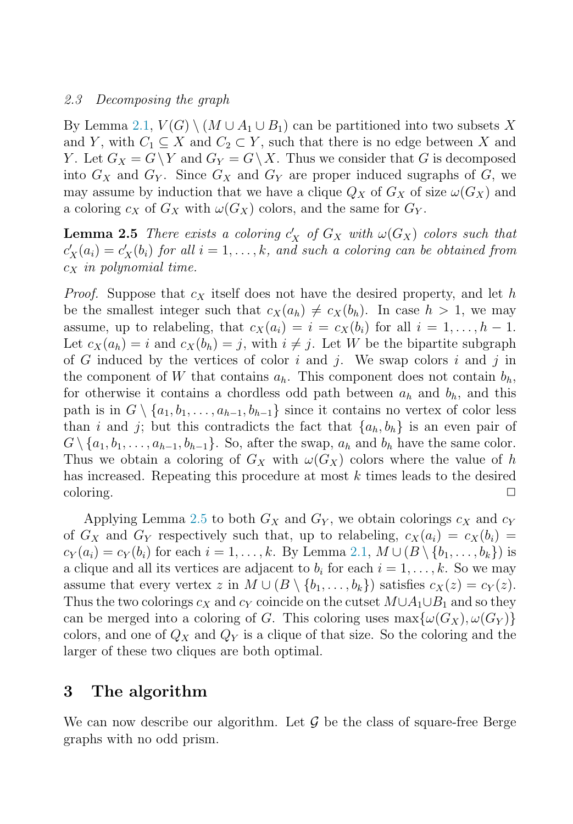#### 2.3 Decomposing the graph

By Lemma [2.1,](#page-2-0)  $V(G) \setminus (M \cup A_1 \cup B_1)$  can be partitioned into two subsets X and Y, with  $C_1 \subseteq X$  and  $C_2 \subset Y$ , such that there is no edge between X and Y. Let  $G_X = G \ Y$  and  $G_Y = G \ X$ . Thus we consider that G is decomposed into  $G_X$  and  $G_Y$ . Since  $G_X$  and  $G_Y$  are proper induced sugraphs of G, we may assume by induction that we have a clique  $Q_X$  of  $G_X$  of size  $\omega(G_X)$  and a coloring  $c_X$  of  $G_X$  with  $\omega(G_X)$  colors, and the same for  $G_Y$ .

**Lemma 2.5** There exists a coloring  $c'_X$  of  $G_X$  with  $\omega(G_X)$  colors such that  $c'_X(a_i) = c'_X(b_i)$  for all  $i = 1, \ldots, k$ , and such a coloring can be obtained from  $c_X$  in polynomial time.

*Proof.* Suppose that  $c_X$  itself does not have the desired property, and let h be the smallest integer such that  $c_X(a_h) \neq c_X(b_h)$ . In case  $h > 1$ , we may assume, up to relabeling, that  $c_X(a_i) = i = c_X(b_i)$  for all  $i = 1, \ldots, h-1$ . Let  $c_X(a_h) = i$  and  $c_X(b_h) = j$ , with  $i \neq j$ . Let W be the bipartite subgraph of G induced by the vertices of color i and j. We swap colors i and j in the component of W that contains  $a_h$ . This component does not contain  $b_h$ , for otherwise it contains a chordless odd path between  $a_h$  and  $b_h$ , and this path is in  $G \setminus \{a_1, b_1, \ldots, a_{h-1}, b_{h-1}\}\$  since it contains no vertex of color less than i and j; but this contradicts the fact that  $\{a_h, b_h\}$  is an even pair of  $G \setminus \{a_1, b_1, \ldots, a_{h-1}, b_{h-1}\}.$  So, after the swap,  $a_h$  and  $b_h$  have the same color. Thus we obtain a coloring of  $G_X$  with  $\omega(G_X)$  colors where the value of h has increased. Repeating this procedure at most k times leads to the desired  $\Box$ coloring.  $\Box$ 

Applying Lemma 2.5 to both  $G_X$  and  $G_Y$ , we obtain colorings  $c_X$  and  $c_Y$ of  $G_X$  and  $G_Y$  respectively such that, up to relabeling,  $c_X(a_i) = c_X(b_i) = c_X(b_i)$  $c_Y(a_i) = c_Y(b_i)$  for each  $i = 1, \ldots, k$ . By Lemma [2.1,](#page-2-0)  $M \cup (B \setminus \{b_1, \ldots, b_k\})$  is a clique and all its vertices are adjacent to  $b_i$  for each  $i = 1, \ldots, k$ . So we may assume that every vertex z in  $M \cup (B \setminus \{b_1,\ldots,b_k\})$  satisfies  $c_X(z) = c_Y(z)$ . Thus the two colorings  $c_X$  and  $c_Y$  coincide on the cutset  $M \cup A_1 \cup B_1$  and so they can be merged into a coloring of G. This coloring uses  $\max{\{\omega(G_X), \omega(G_Y)\}}$ colors, and one of  $Q_X$  and  $Q_Y$  is a clique of that size. So the coloring and the larger of these two cliques are both optimal.

## **3 The algorithm**

We can now describe our algorithm. Let  $\mathcal G$  be the class of square-free Berge graphs with no odd prism.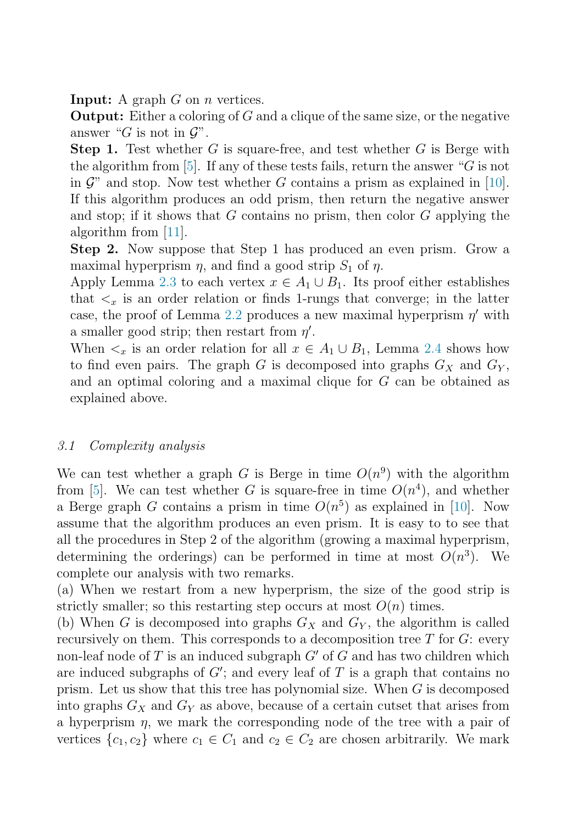**Input:** A graph G on *n* vertices.

**Output:** Either a coloring of G and a clique of the same size, or the negative answer "G is not in  $\mathcal{G}$ ".

**Step 1.** Test whether G is square-free, and test whether G is Berge with the algorithm from [\[5\]](#page-6-0). If any of these tests fails, return the answer " $G$  is not in  $\mathcal{G}$ " and stop. Now test whether G contains a prism as explained in [\[10\]](#page-6-0). If this algorithm produces an odd prism, then return the negative answer and stop; if it shows that  $G$  contains no prism, then color  $G$  applying the algorithm from [\[11\]](#page-7-0).

**Step 2.** Now suppose that Step 1 has produced an even prism. Grow a maximal hyperprism  $\eta$ , and find a good strip  $S_1$  of  $\eta$ .

Apply Lemma [2.3](#page-3-0) to each vertex  $x \in A_1 \cup B_1$ . Its proof either establishes that  $\lt_x$  is an order relation or finds 1-rungs that converge; in the latter case, the proof of Lemma [2.2](#page-3-0) produces a new maximal hyperprism  $\eta'$  with a smaller good strip; then restart from  $\eta'$ .

When  $\lt_x$  is an order relation for all  $x \in A_1 \cup B_1$ , Lemma [2.4](#page-3-0) shows how to find even pairs. The graph G is decomposed into graphs  $G_X$  and  $G_Y$ , and an optimal coloring and a maximal clique for G can be obtained as explained above.

#### 3.1 Complexity analysis

We can test whether a graph G is Berge in time  $O(n^9)$  with the algorithm from [\[5\]](#page-6-0). We can test whether G is square-free in time  $O(n^4)$ , and whether a Berge graph G contains a prism in time  $O(n^5)$  as explained in [\[10\]](#page-6-0). Now assume that the algorithm produces an even prism. It is easy to to see that all the procedures in Step 2 of the algorithm (growing a maximal hyperprism, determining the orderings) can be performed in time at most  $O(n<sup>3</sup>)$ . We complete our analysis with two remarks.

(a) When we restart from a new hyperprism, the size of the good strip is strictly smaller; so this restarting step occurs at most  $O(n)$  times.

(b) When G is decomposed into graphs  $G_X$  and  $G_Y$ , the algorithm is called recursively on them. This corresponds to a decomposition tree  $T$  for  $G$ : every non-leaf node of  $T$  is an induced subgraph  $G'$  of  $G$  and has two children which are induced subgraphs of  $G'$ ; and every leaf of T is a graph that contains no prism. Let us show that this tree has polynomial size. When G is decomposed into graphs  $G_X$  and  $G_Y$  as above, because of a certain cutset that arises from a hyperprism  $\eta$ , we mark the corresponding node of the tree with a pair of vertices  $\{c_1, c_2\}$  where  $c_1 \in C_1$  and  $c_2 \in C_2$  are chosen arbitrarily. We mark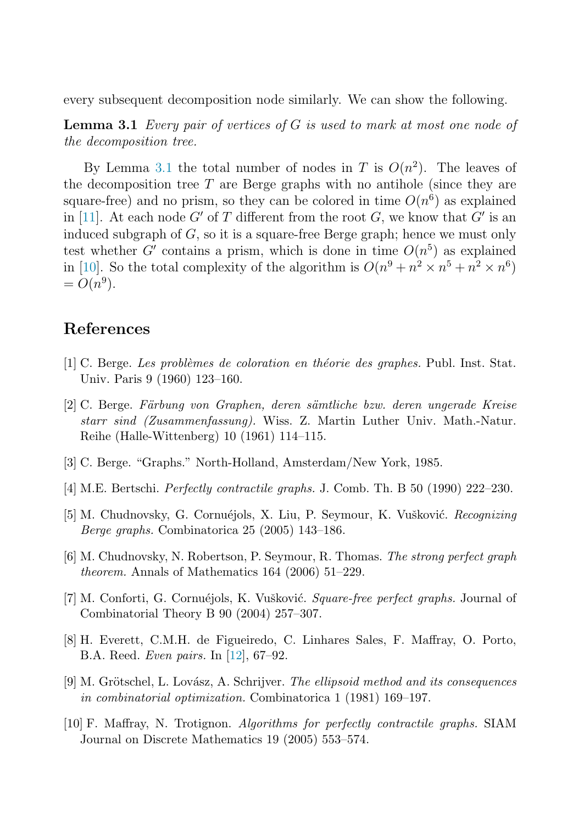<span id="page-6-0"></span>every subsequent decomposition node similarly. We can show the following.

**Lemma 3.1** Every pair of vertices of G is used to mark at most one node of the decomposition tree.

By Lemma 3.1 the total number of nodes in T is  $O(n^2)$ . The leaves of the decomposition tree  $T$  are Berge graphs with no antihole (since they are square-free) and no prism, so they can be colored in time  $O(n^6)$  as explained in [\[11\]](#page-7-0). At each node G' of T different from the root G, we know that G' is an induced subgraph of  $G$ , so it is a square-free Berge graph; hence we must only test whether G' contains a prism, which is done in time  $O(n^5)$  as explained in [10]. So the total complexity of the algorithm is  $O(n^9 + n^2 \times n^5 + n^2 \times n^6)$  $= O(n^9)$ .

### **References**

- [1] C. Berge. *Les probl`emes de coloration en th´eorie des graphes.* Publ. Inst. Stat. Univ. Paris 9 (1960) 123–160.
- [2] C. Berge. *F¨arbung von Graphen, deren s¨amtliche bzw. deren ungerade Kreise starr sind (Zusammenfassung).* Wiss. Z. Martin Luther Univ. Math.-Natur. Reihe (Halle-Wittenberg) 10 (1961) 114–115.
- [3] C. Berge. "Graphs." North-Holland, Amsterdam/New York, 1985.
- [4] M.E. Bertschi. *Perfectly contractile graphs.* J. Comb. Th. B 50 (1990) 222–230.
- [5] M. Chudnovsky, G. Cornuéjols, X. Liu, P. Seymour, K. Vušković. *Recognizing Berge graphs.* Combinatorica 25 (2005) 143–186.
- [6] M. Chudnovsky, N. Robertson, P. Seymour, R. Thomas. *The strong perfect graph theorem.* Annals of Mathematics 164 (2006) 51–229.
- [7] M. Conforti, G. Cornuéjols, K. Vušković. *Square-free perfect graphs*. Journal of Combinatorial Theory B 90 (2004) 257–307.
- [8] H. Everett, C.M.H. de Figueiredo, C. Linhares Sales, F. Maffray, O. Porto, B.A. Reed. *Even pairs.* In [\[12\]](#page-7-0), 67–92.
- [9] M. Grötschel, L. Lovász, A. Schrijver. *The ellipsoid method and its consequences in combinatorial optimization.* Combinatorica 1 (1981) 169–197.
- [10] F. Maffray, N. Trotignon. *Algorithms for perfectly contractile graphs.* SIAM Journal on Discrete Mathematics 19 (2005) 553–574.